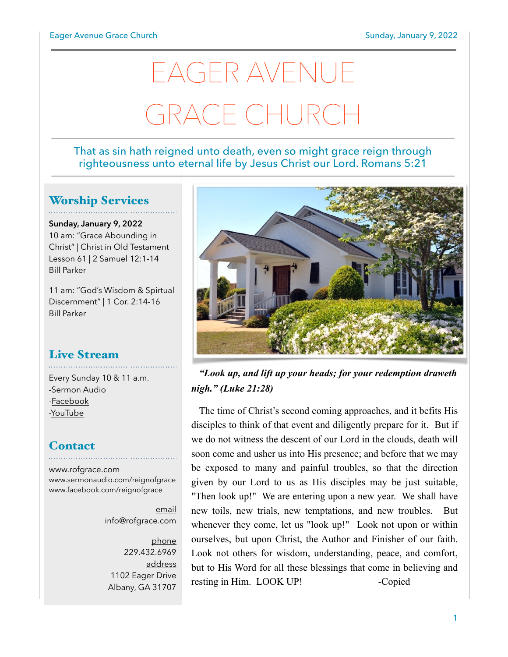# EAGER AVENUE GRACE CHURCI

#### That as sin hath reigned unto death, even so might grace reign through righteousness unto eternal life by Jesus Christ our Lord. Romans 5:21

#### Worship Services

**Sunday, January 9, 2022** 10 am: "Grace Abounding in Christ" | Christ in Old Testament Lesson 61 | 2 Samuel 12:1-14 Bill Parker

11 am: "God's Wisdom & Spirtual Discernment" | 1 Cor. 2:14-16 Bill Parker

## Live Stream

Every Sunday 10 & 11 a.m. [-Sermon Audio](http://sermonaudio.com/reignofgrace) [-Facebook](http://facebook.com/eageravechurch) [-YouTube](http://youtube.com/channel/UCu_lTHCIUOK0cka9AjFV_5Q/live)

#### **Contact**

[www.rofgrace.com](http://www.rofgrace.com) [www.sermonaudio.com/reignofgrace](http://www.sermonaudio.com/reignofgrace) [www.facebook.com/reignofgrace](http://www.facebook.com/reignofgrace)

> email [info@rofgrace.com](mailto:info@rofgrace.com?subject=)

phone 229.432.6969 address 1102 Eager Drive Albany, GA 31707



 *"Look up, and lift up your heads; for your redemption draweth nigh." (Luke 21:28)*

 The time of Christ's second coming approaches, and it befits His disciples to think of that event and diligently prepare for it. But if we do not witness the descent of our Lord in the clouds, death will soon come and usher us into His presence; and before that we may be exposed to many and painful troubles, so that the direction given by our Lord to us as His disciples may be just suitable, "Then look up!" We are entering upon a new year. We shall have new toils, new trials, new temptations, and new troubles. But whenever they come, let us "look up!" Look not upon or within ourselves, but upon Christ, the Author and Finisher of our faith. Look not others for wisdom, understanding, peace, and comfort, but to His Word for all these blessings that come in believing and resting in Him. LOOK UP! -Copied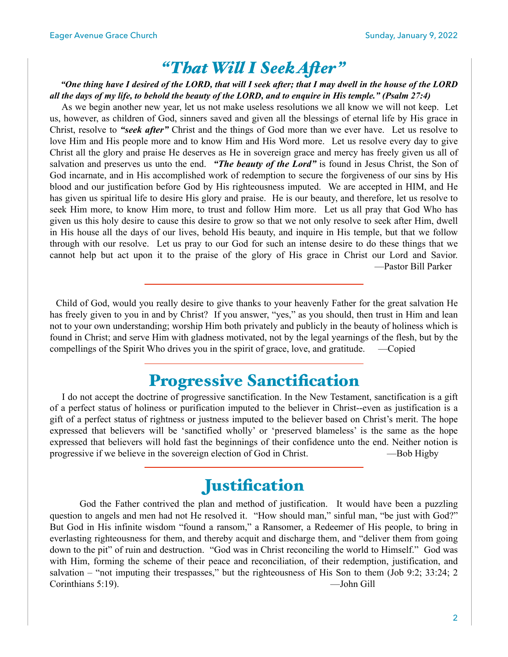## *"That Wil I Seek Afer"*

#### *"One thing have I desired of the LORD, that will I seek after; that I may dwell in the house of the LORD all the days of my life, to behold the beauty of the LORD, and to enquire in His temple." (Psalm 27:4)*

 As we begin another new year, let us not make useless resolutions we all know we will not keep. Let us, however, as children of God, sinners saved and given all the blessings of eternal life by His grace in Christ, resolve to *"seek after"* Christ and the things of God more than we ever have. Let us resolve to love Him and His people more and to know Him and His Word more. Let us resolve every day to give Christ all the glory and praise He deserves as He in sovereign grace and mercy has freely given us all of salvation and preserves us unto the end. *"The beauty of the Lord"* is found in Jesus Christ, the Son of God incarnate, and in His accomplished work of redemption to secure the forgiveness of our sins by His blood and our justification before God by His righteousness imputed. We are accepted in HIM, and He has given us spiritual life to desire His glory and praise. He is our beauty, and therefore, let us resolve to seek Him more, to know Him more, to trust and follow Him more. Let us all pray that God Who has given us this holy desire to cause this desire to grow so that we not only resolve to seek after Him, dwell in His house all the days of our lives, behold His beauty, and inquire in His temple, but that we follow through with our resolve. Let us pray to our God for such an intense desire to do these things that we cannot help but act upon it to the praise of the glory of His grace in Christ our Lord and Savior. —Pastor Bill Parker

 Child of God, would you really desire to give thanks to your heavenly Father for the great salvation He has freely given to you in and by Christ? If you answer, "yes," as you should, then trust in Him and lean not to your own understanding; worship Him both privately and publicly in the beauty of holiness which is found in Christ; and serve Him with gladness motivated, not by the legal yearnings of the flesh, but by the compellings of the Spirit Who drives you in the spirit of grace, love, and gratitude. —Copied

## Progressive Sanctification

 I do not accept the doctrine of progressive sanctification. In the New Testament, sanctification is a gift of a perfect status of holiness or purification imputed to the believer in Christ--even as justification is a gift of a perfect status of rightness or justness imputed to the believer based on Christ's merit. The hope expressed that believers will be 'sanctified wholly' or 'preserved blameless' is the same as the hope expressed that believers will hold fast the beginnings of their confidence unto the end. Neither notion is progressive if we believe in the sovereign election of God in Christ. —Bob Higby

#### **Justification**

God the Father contrived the plan and method of justification. It would have been a puzzling question to angels and men had not He resolved it. "How should man," sinful man, "be just with God?" But God in His infinite wisdom "found a ransom," a Ransomer, a Redeemer of His people, to bring in everlasting righteousness for them, and thereby acquit and discharge them, and "deliver them from going down to the pit" of ruin and destruction. "God was in Christ reconciling the world to Himself." God was with Him, forming the scheme of their peace and reconciliation, of their redemption, justification, and salvation – "not imputing their trespasses," but the righteousness of His Son to them (Job 9:2; 33:24; 2 Corinthians 5:19). —John Gill